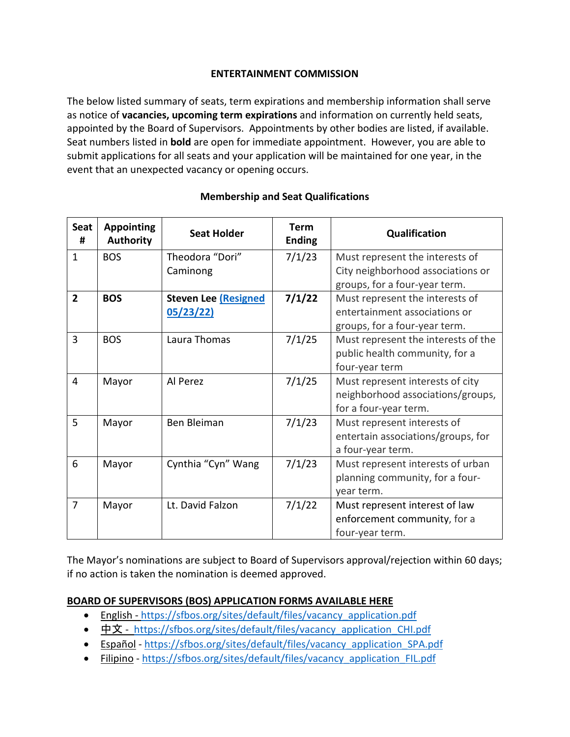### **ENTERTAINMENT COMMISSION**

The below listed summary of seats, term expirations and membership information shall serve as notice of **vacancies, upcoming term expirations** and information on currently held seats, appointed by the Board of Supervisors. Appointments by other bodies are listed, if available. Seat numbers listed in **bold** are open for immediate appointment. However, you are able to submit applications for all seats and your application will be maintained for one year, in the event that an unexpected vacancy or opening occurs.

| <b>Seat</b><br># | <b>Appointing</b><br><b>Authority</b> | <b>Seat Holder</b>         | <b>Term</b><br><b>Ending</b> | Qualification                       |
|------------------|---------------------------------------|----------------------------|------------------------------|-------------------------------------|
| 1                | <b>BOS</b>                            | Theodora "Dori"            | 7/1/23                       | Must represent the interests of     |
|                  |                                       | Caminong                   |                              | City neighborhood associations or   |
|                  |                                       |                            |                              | groups, for a four-year term.       |
| $\overline{2}$   | <b>BOS</b>                            | <b>Steven Lee Resigned</b> | 7/1/22                       | Must represent the interests of     |
|                  |                                       | 05/23/22)                  |                              | entertainment associations or       |
|                  |                                       |                            |                              | groups, for a four-year term.       |
| 3                | <b>BOS</b>                            | Laura Thomas               | 7/1/25                       | Must represent the interests of the |
|                  |                                       |                            |                              | public health community, for a      |
|                  |                                       |                            |                              | four-year term                      |
| 4                | Mayor                                 | Al Perez                   | 7/1/25                       | Must represent interests of city    |
|                  |                                       |                            |                              | neighborhood associations/groups,   |
|                  |                                       |                            |                              | for a four-year term.               |
| 5                | Mayor                                 | Ben Bleiman                | 7/1/23                       | Must represent interests of         |
|                  |                                       |                            |                              | entertain associations/groups, for  |
|                  |                                       |                            |                              | a four-year term.                   |
| 6                | Mayor                                 | Cynthia "Cyn" Wang         | 7/1/23                       | Must represent interests of urban   |
|                  |                                       |                            |                              | planning community, for a four-     |
|                  |                                       |                            |                              | year term.                          |
| $\overline{7}$   | Mayor                                 | Lt. David Falzon           | 7/1/22                       | Must represent interest of law      |
|                  |                                       |                            |                              | enforcement community, for a        |
|                  |                                       |                            |                              | four-year term.                     |

## **Membership and Seat Qualifications**

The Mayor's nominations are subject to Board of Supervisors approval/rejection within 60 days; if no action is taken the nomination is deemed approved.

### **BOARD OF SUPERVISORS (BOS) APPLICATION FORMS AVAILABLE HERE**

- English [https://sfbos.org/sites/default/files/vacancy\\_application.pdf](https://sfbos.org/sites/default/files/vacancy_application.pdf)
- [中文](https://sfbos.org/sites/default/files/vacancy_application_CHI.pdf) [https://sfbos.org/sites/default/files/vacancy\\_application\\_CHI.pdf](https://sfbos.org/sites/default/files/vacancy_application_CHI.pdf)
- [Español](https://sfbos.org/sites/default/files/vacancy_application_SPA.pdf) [https://sfbos.org/sites/default/files/vacancy\\_application\\_SPA.pdf](https://sfbos.org/sites/default/files/vacancy_application_SPA.pdf)
- [Filipino](https://sfbos.org/sites/default/files/vacancy_application_FIL.pdf) [https://sfbos.org/sites/default/files/vacancy\\_application\\_FIL.pdf](https://sfbos.org/sites/default/files/vacancy_application_FIL.pdf)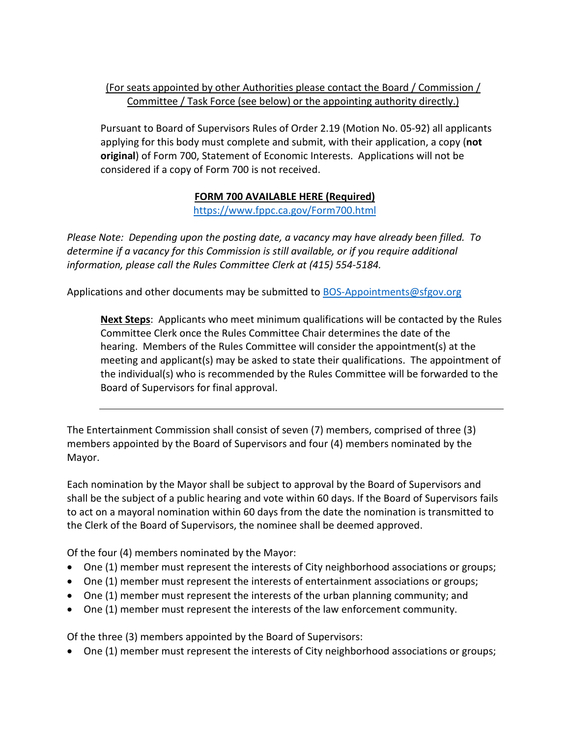## (For seats appointed by other Authorities please contact the Board / Commission / Committee / Task Force (see below) or the appointing authority directly.)

Pursuant to Board of Supervisors Rules of Order 2.19 (Motion No. 05-92) all applicants applying for this body must complete and submit, with their application, a copy (**not original**) of Form 700, Statement of Economic Interests. Applications will not be considered if a copy of Form 700 is not received.

# **FORM 700 AVAILABLE HERE (Required)**

<https://www.fppc.ca.gov/Form700.html>

*Please Note: Depending upon the posting date, a vacancy may have already been filled. To determine if a vacancy for this Commission is still available, or if you require additional information, please call the Rules Committee Clerk at (415) 554-5184.*

Applications and other documents may be submitted to [BOS-Appointments@sfgov.org](mailto:BOS-Appointments@sfgov.org)

**Next Steps**: Applicants who meet minimum qualifications will be contacted by the Rules Committee Clerk once the Rules Committee Chair determines the date of the hearing. Members of the Rules Committee will consider the appointment(s) at the meeting and applicant(s) may be asked to state their qualifications. The appointment of the individual(s) who is recommended by the Rules Committee will be forwarded to the Board of Supervisors for final approval.

The Entertainment Commission shall consist of seven (7) members, comprised of three (3) members appointed by the Board of Supervisors and four (4) members nominated by the Mayor.

Each nomination by the Mayor shall be subject to approval by the Board of Supervisors and shall be the subject of a public hearing and vote within 60 days. If the Board of Supervisors fails to act on a mayoral nomination within 60 days from the date the nomination is transmitted to the Clerk of the Board of Supervisors, the nominee shall be deemed approved.

Of the four (4) members nominated by the Mayor:

- One (1) member must represent the interests of City neighborhood associations or groups;
- One (1) member must represent the interests of entertainment associations or groups;
- One (1) member must represent the interests of the urban planning community; and
- One (1) member must represent the interests of the law enforcement community.

Of the three (3) members appointed by the Board of Supervisors:

• One (1) member must represent the interests of City neighborhood associations or groups;